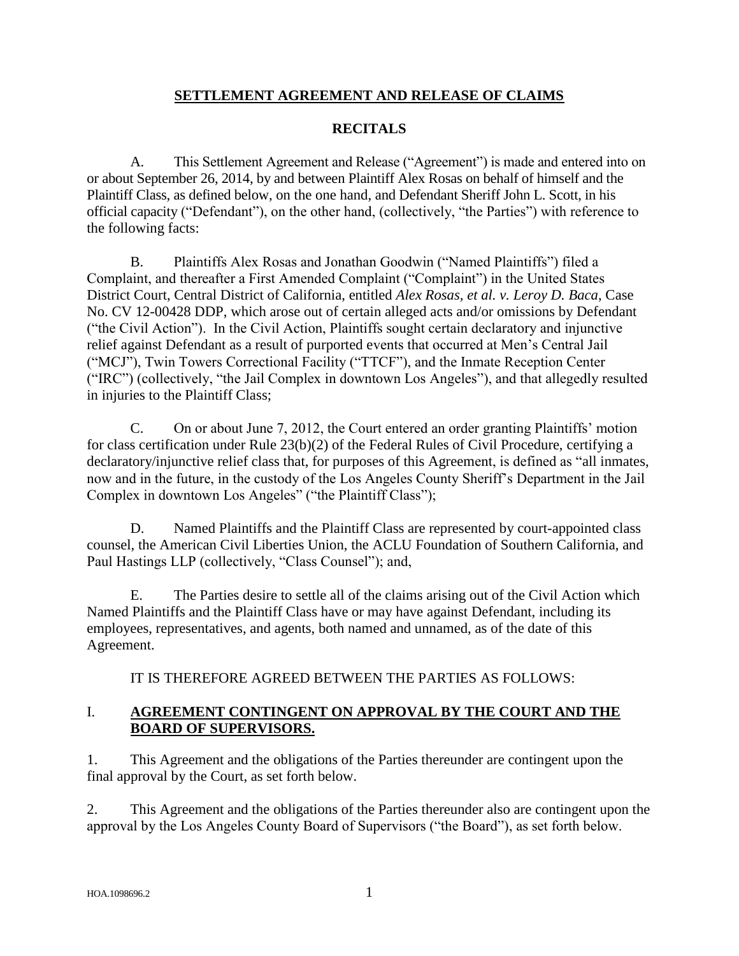## **SETTLEMENT AGREEMENT AND RELEASE OF CLAIMS**

## **RECITALS**

A. This Settlement Agreement and Release ("Agreement") is made and entered into on or about September 26, 2014, by and between Plaintiff Alex Rosas on behalf of himself and the Plaintiff Class, as defined below, on the one hand, and Defendant Sheriff John L. Scott, in his official capacity ("Defendant"), on the other hand, (collectively, "the Parties") with reference to the following facts:

B. Plaintiffs Alex Rosas and Jonathan Goodwin ("Named Plaintiffs") filed a Complaint, and thereafter a First Amended Complaint ("Complaint") in the United States District Court, Central District of California, entitled *Alex Rosas, et al. v. Leroy D. Baca*, Case No. CV 12-00428 DDP, which arose out of certain alleged acts and/or omissions by Defendant ("the Civil Action"). In the Civil Action, Plaintiffs sought certain declaratory and injunctive relief against Defendant as a result of purported events that occurred at Men's Central Jail ("MCJ"), Twin Towers Correctional Facility ("TTCF"), and the Inmate Reception Center ("IRC") (collectively, "the Jail Complex in downtown Los Angeles"), and that allegedly resulted in injuries to the Plaintiff Class;

C. On or about June 7, 2012, the Court entered an order granting Plaintiffs' motion for class certification under Rule 23(b)(2) of the Federal Rules of Civil Procedure, certifying a declaratory/injunctive relief class that, for purposes of this Agreement, is defined as "all inmates, now and in the future, in the custody of the Los Angeles County Sheriff's Department in the Jail Complex in downtown Los Angeles" ("the Plaintiff Class");

D. Named Plaintiffs and the Plaintiff Class are represented by court-appointed class counsel, the American Civil Liberties Union, the ACLU Foundation of Southern California, and Paul Hastings LLP (collectively, "Class Counsel"); and,

E. The Parties desire to settle all of the claims arising out of the Civil Action which Named Plaintiffs and the Plaintiff Class have or may have against Defendant, including its employees, representatives, and agents, both named and unnamed, as of the date of this Agreement.

IT IS THEREFORE AGREED BETWEEN THE PARTIES AS FOLLOWS:

### I. **AGREEMENT CONTINGENT ON APPROVAL BY THE COURT AND THE BOARD OF SUPERVISORS.**

1. This Agreement and the obligations of the Parties thereunder are contingent upon the final approval by the Court, as set forth below.

2. This Agreement and the obligations of the Parties thereunder also are contingent upon the approval by the Los Angeles County Board of Supervisors ("the Board"), as set forth below.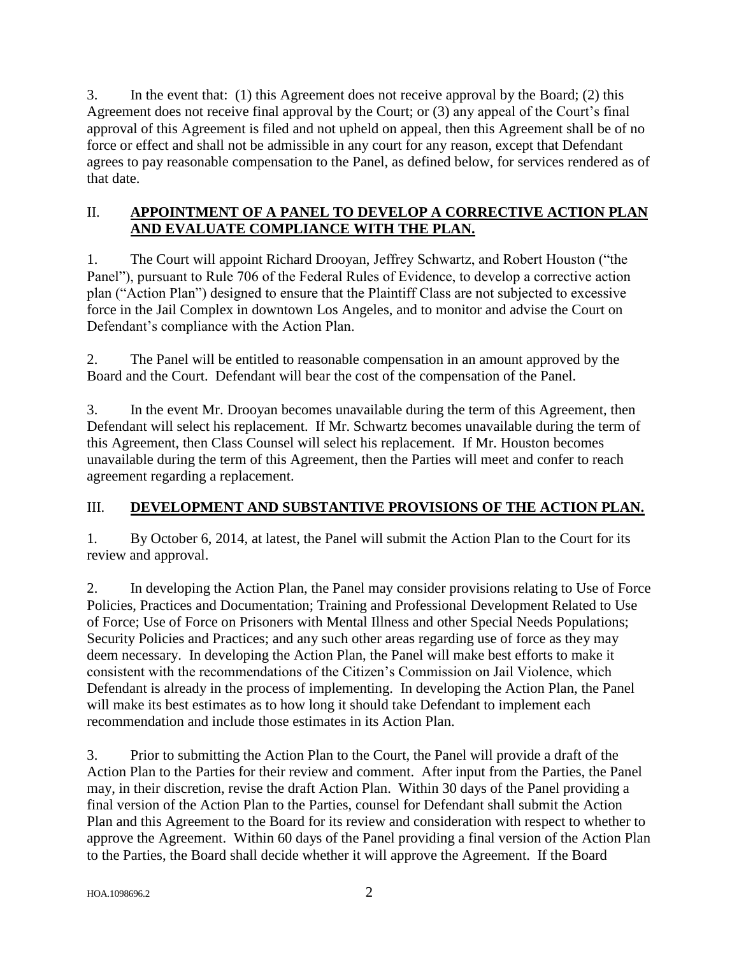3. In the event that: (1) this Agreement does not receive approval by the Board; (2) this Agreement does not receive final approval by the Court; or (3) any appeal of the Court's final approval of this Agreement is filed and not upheld on appeal, then this Agreement shall be of no force or effect and shall not be admissible in any court for any reason, except that Defendant agrees to pay reasonable compensation to the Panel, as defined below, for services rendered as of that date.

## II. **APPOINTMENT OF A PANEL TO DEVELOP A CORRECTIVE ACTION PLAN AND EVALUATE COMPLIANCE WITH THE PLAN.**

1. The Court will appoint Richard Drooyan, Jeffrey Schwartz, and Robert Houston ("the Panel"), pursuant to Rule 706 of the Federal Rules of Evidence, to develop a corrective action plan ("Action Plan") designed to ensure that the Plaintiff Class are not subjected to excessive force in the Jail Complex in downtown Los Angeles, and to monitor and advise the Court on Defendant's compliance with the Action Plan.

2. The Panel will be entitled to reasonable compensation in an amount approved by the Board and the Court. Defendant will bear the cost of the compensation of the Panel.

3. In the event Mr. Drooyan becomes unavailable during the term of this Agreement, then Defendant will select his replacement. If Mr. Schwartz becomes unavailable during the term of this Agreement, then Class Counsel will select his replacement. If Mr. Houston becomes unavailable during the term of this Agreement, then the Parties will meet and confer to reach agreement regarding a replacement.

# III. **DEVELOPMENT AND SUBSTANTIVE PROVISIONS OF THE ACTION PLAN.**

1*.* By October 6, 2014, at latest, the Panel will submit the Action Plan to the Court for its review and approval.

2. In developing the Action Plan, the Panel may consider provisions relating to Use of Force Policies, Practices and Documentation; Training and Professional Development Related to Use of Force; Use of Force on Prisoners with Mental Illness and other Special Needs Populations; Security Policies and Practices; and any such other areas regarding use of force as they may deem necessary. In developing the Action Plan, the Panel will make best efforts to make it consistent with the recommendations of the Citizen's Commission on Jail Violence, which Defendant is already in the process of implementing. In developing the Action Plan, the Panel will make its best estimates as to how long it should take Defendant to implement each recommendation and include those estimates in its Action Plan.

3. Prior to submitting the Action Plan to the Court, the Panel will provide a draft of the Action Plan to the Parties for their review and comment. After input from the Parties, the Panel may, in their discretion, revise the draft Action Plan. Within 30 days of the Panel providing a final version of the Action Plan to the Parties, counsel for Defendant shall submit the Action Plan and this Agreement to the Board for its review and consideration with respect to whether to approve the Agreement. Within 60 days of the Panel providing a final version of the Action Plan to the Parties, the Board shall decide whether it will approve the Agreement. If the Board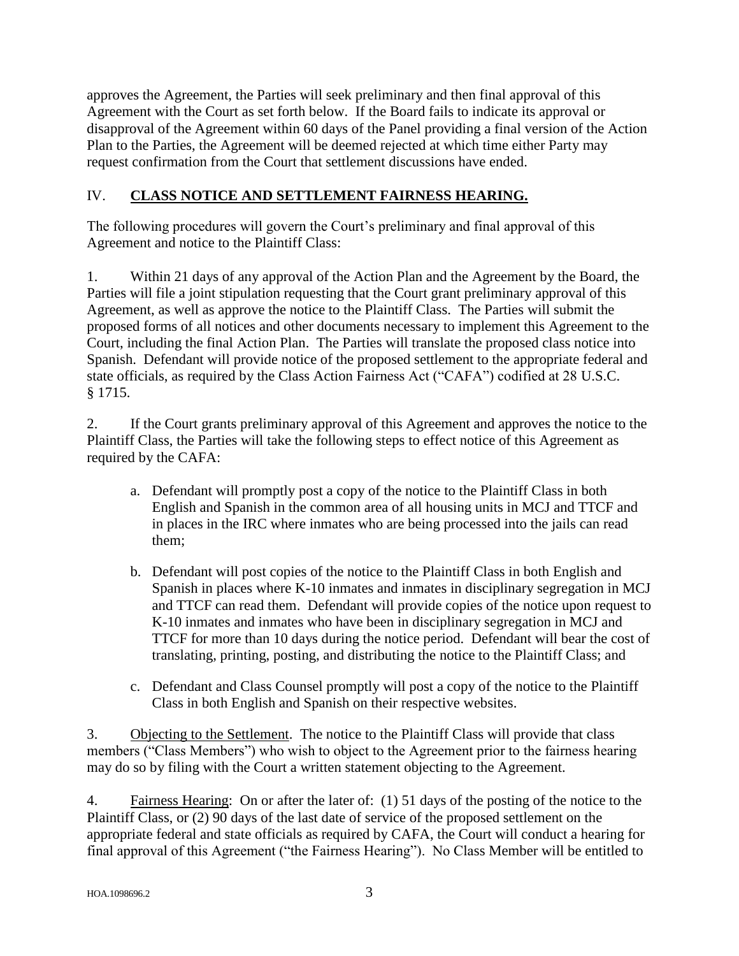approves the Agreement, the Parties will seek preliminary and then final approval of this Agreement with the Court as set forth below. If the Board fails to indicate its approval or disapproval of the Agreement within 60 days of the Panel providing a final version of the Action Plan to the Parties, the Agreement will be deemed rejected at which time either Party may request confirmation from the Court that settlement discussions have ended.

## IV. **CLASS NOTICE AND SETTLEMENT FAIRNESS HEARING.**

The following procedures will govern the Court's preliminary and final approval of this Agreement and notice to the Plaintiff Class:

1. Within 21 days of any approval of the Action Plan and the Agreement by the Board, the Parties will file a joint stipulation requesting that the Court grant preliminary approval of this Agreement, as well as approve the notice to the Plaintiff Class. The Parties will submit the proposed forms of all notices and other documents necessary to implement this Agreement to the Court, including the final Action Plan. The Parties will translate the proposed class notice into Spanish. Defendant will provide notice of the proposed settlement to the appropriate federal and state officials, as required by the Class Action Fairness Act ("CAFA") codified at 28 U.S.C. § 1715.

2. If the Court grants preliminary approval of this Agreement and approves the notice to the Plaintiff Class, the Parties will take the following steps to effect notice of this Agreement as required by the CAFA:

- a. Defendant will promptly post a copy of the notice to the Plaintiff Class in both English and Spanish in the common area of all housing units in MCJ and TTCF and in places in the IRC where inmates who are being processed into the jails can read them;
- b. Defendant will post copies of the notice to the Plaintiff Class in both English and Spanish in places where K-10 inmates and inmates in disciplinary segregation in MCJ and TTCF can read them. Defendant will provide copies of the notice upon request to K-10 inmates and inmates who have been in disciplinary segregation in MCJ and TTCF for more than 10 days during the notice period. Defendant will bear the cost of translating, printing, posting, and distributing the notice to the Plaintiff Class; and
- c. Defendant and Class Counsel promptly will post a copy of the notice to the Plaintiff Class in both English and Spanish on their respective websites.

3. Objecting to the Settlement. The notice to the Plaintiff Class will provide that class members ("Class Members") who wish to object to the Agreement prior to the fairness hearing may do so by filing with the Court a written statement objecting to the Agreement.

4. Fairness Hearing: On or after the later of: (1) 51 days of the posting of the notice to the Plaintiff Class, or (2) 90 days of the last date of service of the proposed settlement on the appropriate federal and state officials as required by CAFA, the Court will conduct a hearing for final approval of this Agreement ("the Fairness Hearing"). No Class Member will be entitled to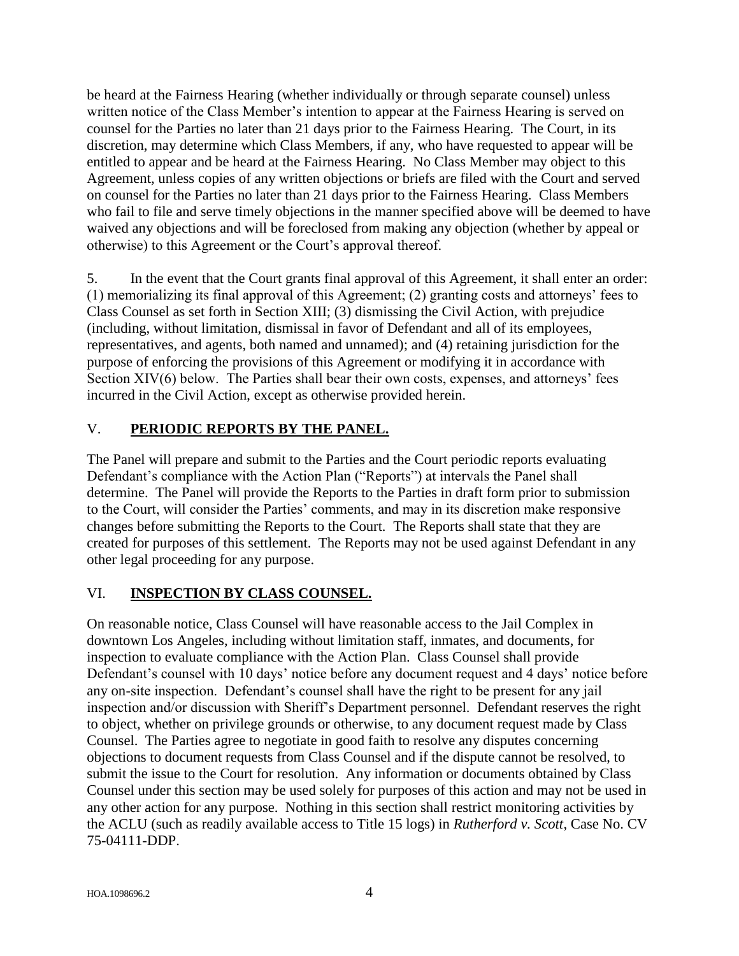be heard at the Fairness Hearing (whether individually or through separate counsel) unless written notice of the Class Member's intention to appear at the Fairness Hearing is served on counsel for the Parties no later than 21 days prior to the Fairness Hearing. The Court, in its discretion, may determine which Class Members, if any, who have requested to appear will be entitled to appear and be heard at the Fairness Hearing. No Class Member may object to this Agreement, unless copies of any written objections or briefs are filed with the Court and served on counsel for the Parties no later than 21 days prior to the Fairness Hearing. Class Members who fail to file and serve timely objections in the manner specified above will be deemed to have waived any objections and will be foreclosed from making any objection (whether by appeal or otherwise) to this Agreement or the Court's approval thereof.

5. In the event that the Court grants final approval of this Agreement, it shall enter an order: (1) memorializing its final approval of this Agreement; (2) granting costs and attorneys' fees to Class Counsel as set forth in Section XIII; (3) dismissing the Civil Action, with prejudice (including, without limitation, dismissal in favor of Defendant and all of its employees, representatives, and agents, both named and unnamed); and (4) retaining jurisdiction for the purpose of enforcing the provisions of this Agreement or modifying it in accordance with Section XIV(6) below. The Parties shall bear their own costs, expenses, and attorneys' fees incurred in the Civil Action, except as otherwise provided herein.

## V. **PERIODIC REPORTS BY THE PANEL.**

The Panel will prepare and submit to the Parties and the Court periodic reports evaluating Defendant's compliance with the Action Plan ("Reports") at intervals the Panel shall determine. The Panel will provide the Reports to the Parties in draft form prior to submission to the Court, will consider the Parties' comments, and may in its discretion make responsive changes before submitting the Reports to the Court*.* The Reports shall state that they are created for purposes of this settlement. The Reports may not be used against Defendant in any other legal proceeding for any purpose.

### VI. **INSPECTION BY CLASS COUNSEL.**

On reasonable notice, Class Counsel will have reasonable access to the Jail Complex in downtown Los Angeles, including without limitation staff, inmates, and documents, for inspection to evaluate compliance with the Action Plan. Class Counsel shall provide Defendant's counsel with 10 days' notice before any document request and 4 days' notice before any on-site inspection. Defendant's counsel shall have the right to be present for any jail inspection and/or discussion with Sheriff's Department personnel. Defendant reserves the right to object, whether on privilege grounds or otherwise, to any document request made by Class Counsel. The Parties agree to negotiate in good faith to resolve any disputes concerning objections to document requests from Class Counsel and if the dispute cannot be resolved, to submit the issue to the Court for resolution. Any information or documents obtained by Class Counsel under this section may be used solely for purposes of this action and may not be used in any other action for any purpose. Nothing in this section shall restrict monitoring activities by the ACLU (such as readily available access to Title 15 logs) in *Rutherford v. Scott*, Case No. CV 75-04111-DDP.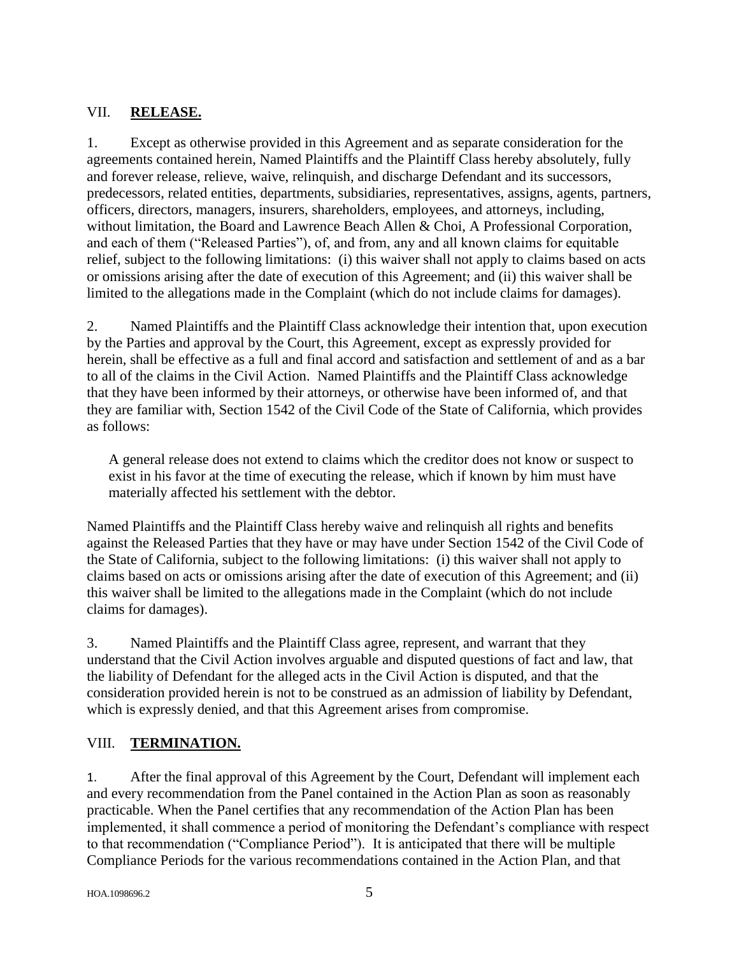## VII. **RELEASE.**

1. Except as otherwise provided in this Agreement and as separate consideration for the agreements contained herein, Named Plaintiffs and the Plaintiff Class hereby absolutely, fully and forever release, relieve, waive, relinquish, and discharge Defendant and its successors, predecessors, related entities, departments, subsidiaries, representatives, assigns, agents, partners, officers, directors, managers, insurers, shareholders, employees, and attorneys, including, without limitation, the Board and Lawrence Beach Allen & Choi, A Professional Corporation, and each of them ("Released Parties"), of, and from, any and all known claims for equitable relief, subject to the following limitations: (i) this waiver shall not apply to claims based on acts or omissions arising after the date of execution of this Agreement; and (ii) this waiver shall be limited to the allegations made in the Complaint (which do not include claims for damages).

2. Named Plaintiffs and the Plaintiff Class acknowledge their intention that, upon execution by the Parties and approval by the Court, this Agreement, except as expressly provided for herein, shall be effective as a full and final accord and satisfaction and settlement of and as a bar to all of the claims in the Civil Action. Named Plaintiffs and the Plaintiff Class acknowledge that they have been informed by their attorneys, or otherwise have been informed of, and that they are familiar with, Section 1542 of the Civil Code of the State of California, which provides as follows:

A general release does not extend to claims which the creditor does not know or suspect to exist in his favor at the time of executing the release, which if known by him must have materially affected his settlement with the debtor.

Named Plaintiffs and the Plaintiff Class hereby waive and relinquish all rights and benefits against the Released Parties that they have or may have under Section 1542 of the Civil Code of the State of California, subject to the following limitations: (i) this waiver shall not apply to claims based on acts or omissions arising after the date of execution of this Agreement; and (ii) this waiver shall be limited to the allegations made in the Complaint (which do not include claims for damages).

3. Named Plaintiffs and the Plaintiff Class agree, represent, and warrant that they understand that the Civil Action involves arguable and disputed questions of fact and law, that the liability of Defendant for the alleged acts in the Civil Action is disputed, and that the consideration provided herein is not to be construed as an admission of liability by Defendant, which is expressly denied, and that this Agreement arises from compromise.

## VIII. **TERMINATION.**

1. After the final approval of this Agreement by the Court, Defendant will implement each and every recommendation from the Panel contained in the Action Plan as soon as reasonably practicable. When the Panel certifies that any recommendation of the Action Plan has been implemented, it shall commence a period of monitoring the Defendant's compliance with respect to that recommendation ("Compliance Period"). It is anticipated that there will be multiple Compliance Periods for the various recommendations contained in the Action Plan, and that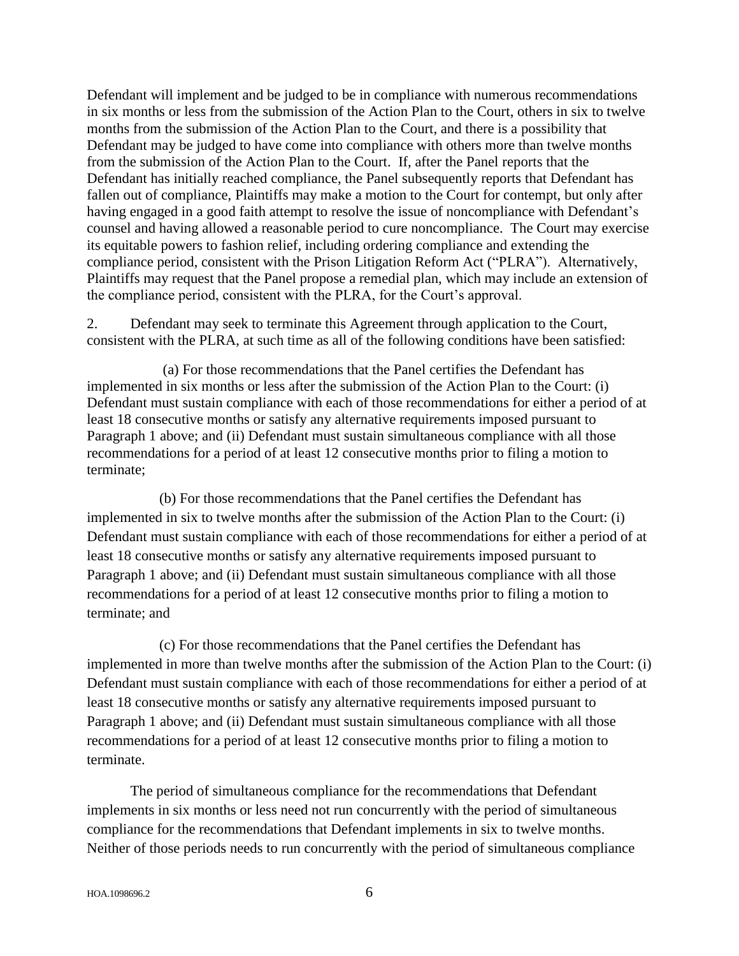Defendant will implement and be judged to be in compliance with numerous recommendations in six months or less from the submission of the Action Plan to the Court, others in six to twelve months from the submission of the Action Plan to the Court, and there is a possibility that Defendant may be judged to have come into compliance with others more than twelve months from the submission of the Action Plan to the Court. If, after the Panel reports that the Defendant has initially reached compliance, the Panel subsequently reports that Defendant has fallen out of compliance, Plaintiffs may make a motion to the Court for contempt, but only after having engaged in a good faith attempt to resolve the issue of noncompliance with Defendant's counsel and having allowed a reasonable period to cure noncompliance. The Court may exercise its equitable powers to fashion relief, including ordering compliance and extending the compliance period, consistent with the Prison Litigation Reform Act ("PLRA"). Alternatively, Plaintiffs may request that the Panel propose a remedial plan, which may include an extension of the compliance period, consistent with the PLRA, for the Court's approval.

2. Defendant may seek to terminate this Agreement through application to the Court, consistent with the PLRA, at such time as all of the following conditions have been satisfied:

(a) For those recommendations that the Panel certifies the Defendant has implemented in six months or less after the submission of the Action Plan to the Court: (i) Defendant must sustain compliance with each of those recommendations for either a period of at least 18 consecutive months or satisfy any alternative requirements imposed pursuant to Paragraph 1 above; and (ii) Defendant must sustain simultaneous compliance with all those recommendations for a period of at least 12 consecutive months prior to filing a motion to terminate;

(b) For those recommendations that the Panel certifies the Defendant has implemented in six to twelve months after the submission of the Action Plan to the Court: (i) Defendant must sustain compliance with each of those recommendations for either a period of at least 18 consecutive months or satisfy any alternative requirements imposed pursuant to Paragraph 1 above; and (ii) Defendant must sustain simultaneous compliance with all those recommendations for a period of at least 12 consecutive months prior to filing a motion to terminate; and

(c) For those recommendations that the Panel certifies the Defendant has implemented in more than twelve months after the submission of the Action Plan to the Court: (i) Defendant must sustain compliance with each of those recommendations for either a period of at least 18 consecutive months or satisfy any alternative requirements imposed pursuant to Paragraph 1 above; and (ii) Defendant must sustain simultaneous compliance with all those recommendations for a period of at least 12 consecutive months prior to filing a motion to terminate.

The period of simultaneous compliance for the recommendations that Defendant implements in six months or less need not run concurrently with the period of simultaneous compliance for the recommendations that Defendant implements in six to twelve months. Neither of those periods needs to run concurrently with the period of simultaneous compliance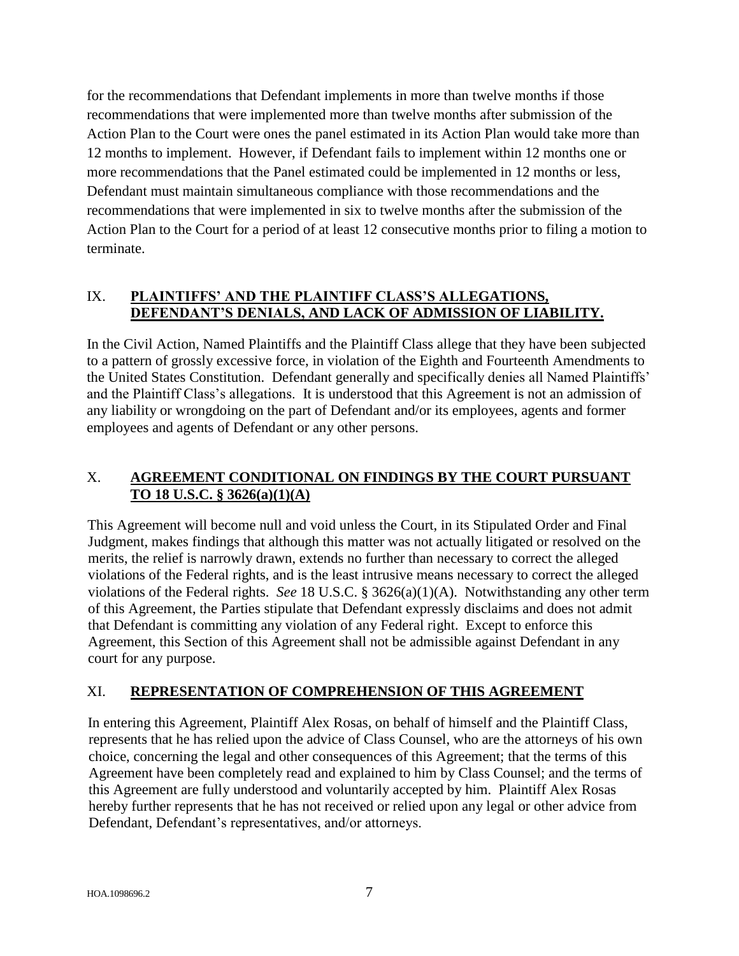for the recommendations that Defendant implements in more than twelve months if those recommendations that were implemented more than twelve months after submission of the Action Plan to the Court were ones the panel estimated in its Action Plan would take more than 12 months to implement. However, if Defendant fails to implement within 12 months one or more recommendations that the Panel estimated could be implemented in 12 months or less, Defendant must maintain simultaneous compliance with those recommendations and the recommendations that were implemented in six to twelve months after the submission of the Action Plan to the Court for a period of at least 12 consecutive months prior to filing a motion to terminate.

### IX. **PLAINTIFFS' AND THE PLAINTIFF CLASS'S ALLEGATIONS, DEFENDANT'S DENIALS, AND LACK OF ADMISSION OF LIABILITY.**

In the Civil Action, Named Plaintiffs and the Plaintiff Class allege that they have been subjected to a pattern of grossly excessive force, in violation of the Eighth and Fourteenth Amendments to the United States Constitution. Defendant generally and specifically denies all Named Plaintiffs' and the Plaintiff Class's allegations. It is understood that this Agreement is not an admission of any liability or wrongdoing on the part of Defendant and/or its employees, agents and former employees and agents of Defendant or any other persons.

## X. **AGREEMENT CONDITIONAL ON FINDINGS BY THE COURT PURSUANT TO 18 U.S.C. § 3626(a)(1)(A)**

This Agreement will become null and void unless the Court, in its Stipulated Order and Final Judgment, makes findings that although this matter was not actually litigated or resolved on the merits, the relief is narrowly drawn, extends no further than necessary to correct the alleged violations of the Federal rights, and is the least intrusive means necessary to correct the alleged violations of the Federal rights. *See* 18 U.S.C. § 3626(a)(1)(A). Notwithstanding any other term of this Agreement, the Parties stipulate that Defendant expressly disclaims and does not admit that Defendant is committing any violation of any Federal right. Except to enforce this Agreement, this Section of this Agreement shall not be admissible against Defendant in any court for any purpose.

## XI. **REPRESENTATION OF COMPREHENSION OF THIS AGREEMENT**

In entering this Agreement, Plaintiff Alex Rosas, on behalf of himself and the Plaintiff Class, represents that he has relied upon the advice of Class Counsel, who are the attorneys of his own choice, concerning the legal and other consequences of this Agreement; that the terms of this Agreement have been completely read and explained to him by Class Counsel; and the terms of this Agreement are fully understood and voluntarily accepted by him. Plaintiff Alex Rosas hereby further represents that he has not received or relied upon any legal or other advice from Defendant, Defendant's representatives, and/or attorneys.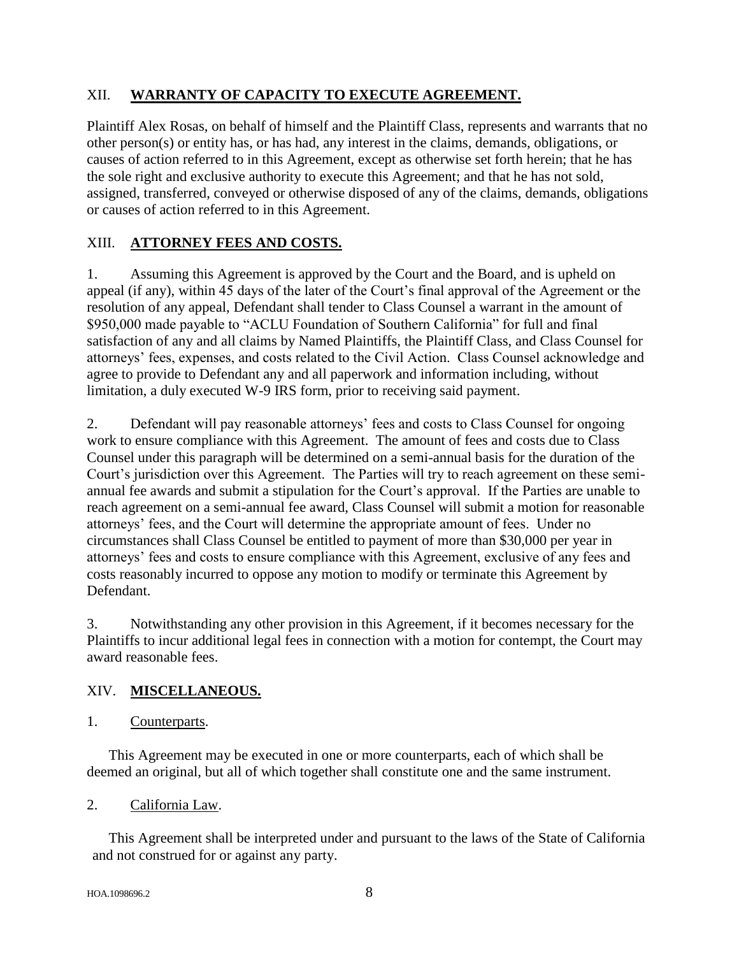## XII. **WARRANTY OF CAPACITY TO EXECUTE AGREEMENT.**

Plaintiff Alex Rosas, on behalf of himself and the Plaintiff Class, represents and warrants that no other person(s) or entity has, or has had, any interest in the claims, demands, obligations, or causes of action referred to in this Agreement, except as otherwise set forth herein; that he has the sole right and exclusive authority to execute this Agreement; and that he has not sold, assigned, transferred, conveyed or otherwise disposed of any of the claims, demands, obligations or causes of action referred to in this Agreement.

## XIII. **ATTORNEY FEES AND COSTS.**

1. Assuming this Agreement is approved by the Court and the Board, and is upheld on appeal (if any), within 45 days of the later of the Court's final approval of the Agreement or the resolution of any appeal, Defendant shall tender to Class Counsel a warrant in the amount of \$950,000 made payable to "ACLU Foundation of Southern California" for full and final satisfaction of any and all claims by Named Plaintiffs, the Plaintiff Class, and Class Counsel for attorneys' fees, expenses, and costs related to the Civil Action. Class Counsel acknowledge and agree to provide to Defendant any and all paperwork and information including, without limitation, a duly executed W-9 IRS form, prior to receiving said payment.

2. Defendant will pay reasonable attorneys' fees and costs to Class Counsel for ongoing work to ensure compliance with this Agreement. The amount of fees and costs due to Class Counsel under this paragraph will be determined on a semi-annual basis for the duration of the Court's jurisdiction over this Agreement. The Parties will try to reach agreement on these semiannual fee awards and submit a stipulation for the Court's approval. If the Parties are unable to reach agreement on a semi-annual fee award, Class Counsel will submit a motion for reasonable attorneys' fees, and the Court will determine the appropriate amount of fees. Under no circumstances shall Class Counsel be entitled to payment of more than \$30,000 per year in attorneys' fees and costs to ensure compliance with this Agreement, exclusive of any fees and costs reasonably incurred to oppose any motion to modify or terminate this Agreement by Defendant.

3. Notwithstanding any other provision in this Agreement, if it becomes necessary for the Plaintiffs to incur additional legal fees in connection with a motion for contempt, the Court may award reasonable fees.

### XIV. **MISCELLANEOUS.**

1. Counterparts.

This Agreement may be executed in one or more counterparts, each of which shall be deemed an original, but all of which together shall constitute one and the same instrument.

### 2. California Law.

This Agreement shall be interpreted under and pursuant to the laws of the State of California and not construed for or against any party.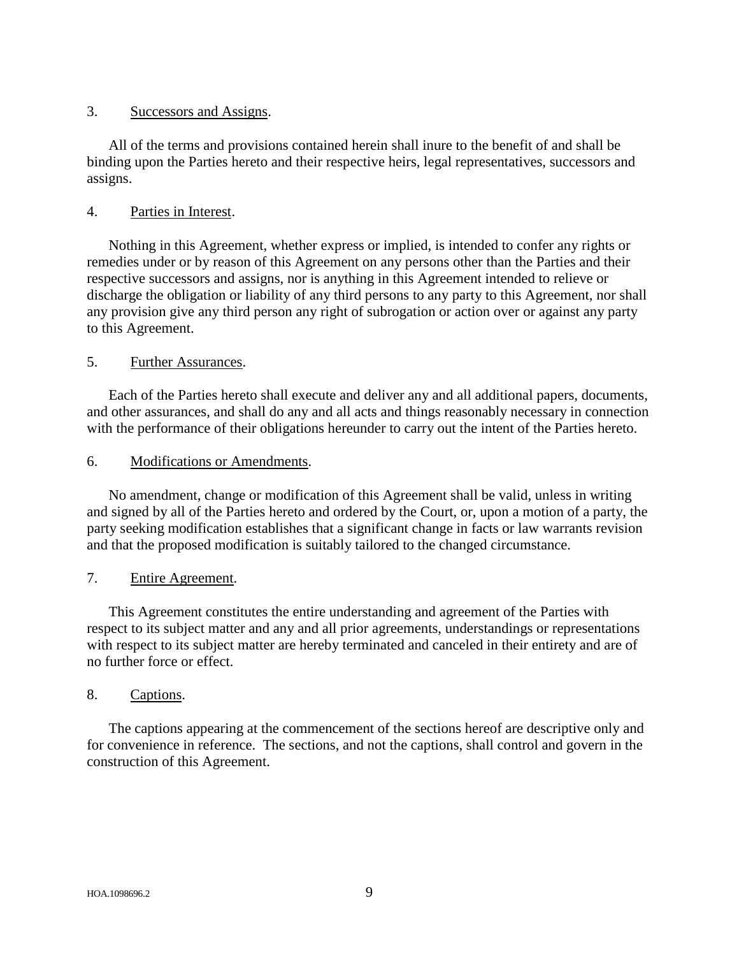#### 3. Successors and Assigns.

All of the terms and provisions contained herein shall inure to the benefit of and shall be binding upon the Parties hereto and their respective heirs, legal representatives, successors and assigns.

#### 4. Parties in Interest.

Nothing in this Agreement, whether express or implied, is intended to confer any rights or remedies under or by reason of this Agreement on any persons other than the Parties and their respective successors and assigns, nor is anything in this Agreement intended to relieve or discharge the obligation or liability of any third persons to any party to this Agreement, nor shall any provision give any third person any right of subrogation or action over or against any party to this Agreement.

#### 5. Further Assurances.

Each of the Parties hereto shall execute and deliver any and all additional papers, documents, and other assurances, and shall do any and all acts and things reasonably necessary in connection with the performance of their obligations hereunder to carry out the intent of the Parties hereto.

#### 6. Modifications or Amendments.

No amendment, change or modification of this Agreement shall be valid, unless in writing and signed by all of the Parties hereto and ordered by the Court, or, upon a motion of a party, the party seeking modification establishes that a significant change in facts or law warrants revision and that the proposed modification is suitably tailored to the changed circumstance.

#### 7. Entire Agreement.

This Agreement constitutes the entire understanding and agreement of the Parties with respect to its subject matter and any and all prior agreements, understandings or representations with respect to its subject matter are hereby terminated and canceled in their entirety and are of no further force or effect.

#### 8. Captions.

The captions appearing at the commencement of the sections hereof are descriptive only and for convenience in reference. The sections, and not the captions, shall control and govern in the construction of this Agreement.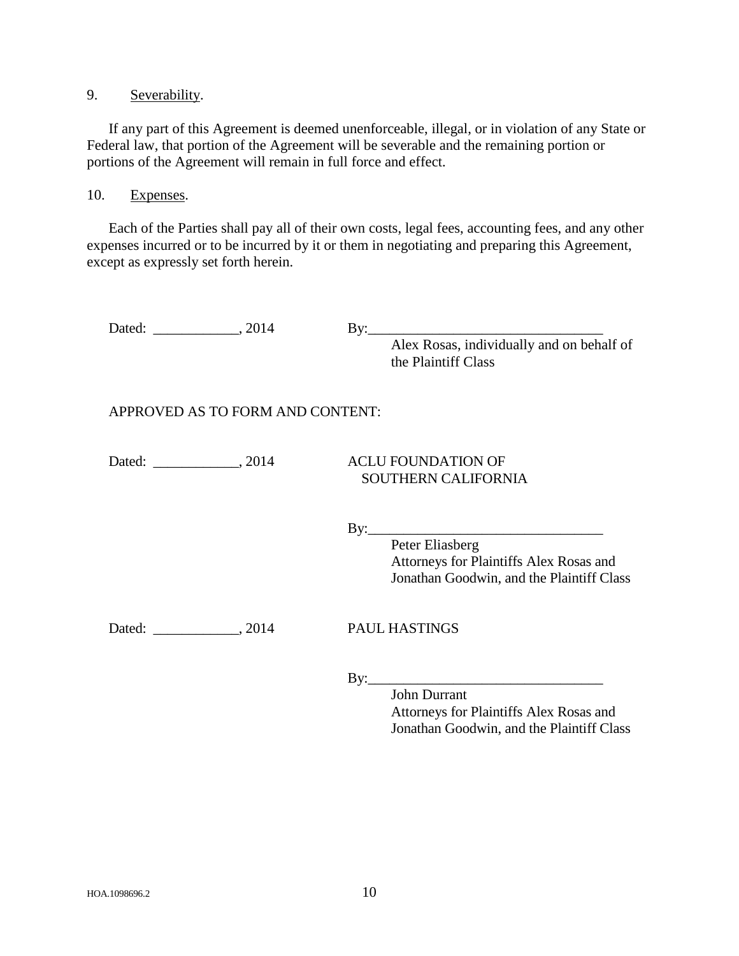9. Severability.

If any part of this Agreement is deemed unenforceable, illegal, or in violation of any State or Federal law, that portion of the Agreement will be severable and the remaining portion or portions of the Agreement will remain in full force and effect.

10. Expenses.

Each of the Parties shall pay all of their own costs, legal fees, accounting fees, and any other expenses incurred or to be incurred by it or them in negotiating and preparing this Agreement, except as expressly set forth herein.

Dated: \_\_\_\_\_\_\_\_\_\_\_\_, 2014 By:\_\_\_\_\_\_\_\_\_\_\_\_\_\_\_\_\_\_\_\_\_\_\_\_\_\_\_\_\_\_\_\_\_ Alex Rosas, individually and on behalf of the Plaintiff Class APPROVED AS TO FORM AND CONTENT: Dated: \_\_\_\_\_\_\_\_\_\_\_\_, 2014 ACLU FOUNDATION OF SOUTHERN CALIFORNIA  $By:$ Peter Eliasberg Attorneys for Plaintiffs Alex Rosas and Jonathan Goodwin, and the Plaintiff Class Dated: 2014 PAUL HASTINGS  $By:$ John Durrant Attorneys for Plaintiffs Alex Rosas and Jonathan Goodwin, and the Plaintiff Class